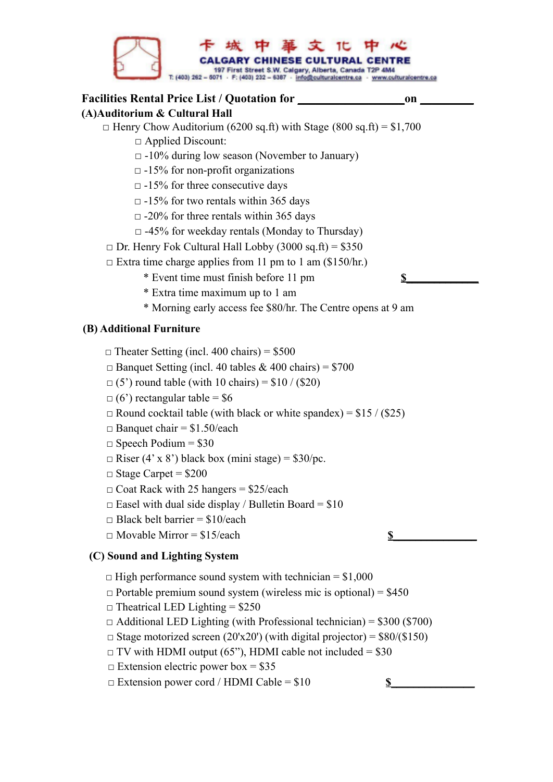

 $\Box$  Extension electric power box = \$35

 $\Box$  Extension power cord / HDMI Cable =  $$10$